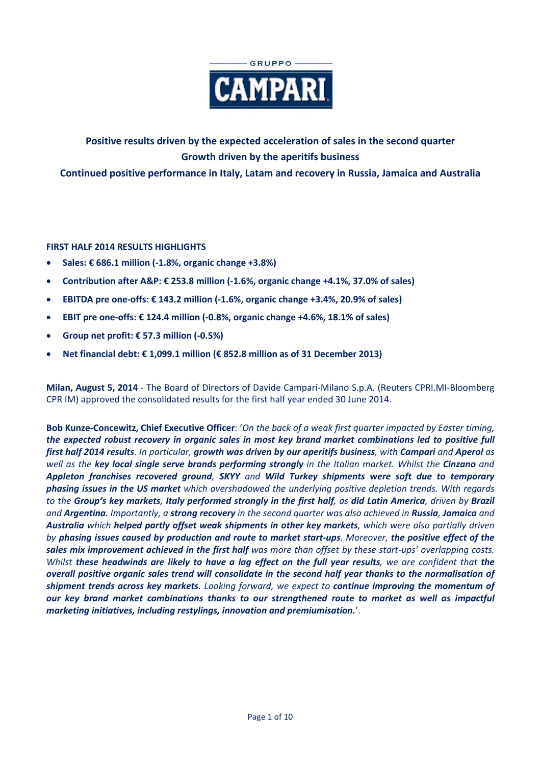

# **Positive results driven by the expected acceleration of sales in the second quarter Growth driven by the aperitifs business**

**Continued positive performance in Italy, Latam and recovery in Russia, Jamaica and Australia** 

## **FIRST HALF 2014 RESULTS HIGHLIGHTS**

- **Sales: € 686.1 million (-1.8%, organic change +3.8%)**
- **Contribution after A&P: € 253.8 million (-1.6%, organic change +4.1%, 37.0% of sales)**
- **EBITDA pre one-offs: € 143.2 million (-1.6%, organic change +3.4%, 20.9% of sales)**
- **EBIT pre one-offs: € 124.4 million (-0.8%, organic change +4.6%, 18.1% of sales)**
- **Group net profit: € 57.3 million (-0.5%)**
- **Net financial debt: € 1,099.1 million (€ 852.8 million as of 31 December 2013)**

**Milan, August 5, 2014** - The Board of Directors of Davide Campari-Milano S.p.A. (Reuters CPRI.MI-Bloomberg CPR IM) approved the consolidated results for the first half year ended 30 June 2014.

**Bob Kunze-Concewitz, Chief Executive Officer**: '*On the back of a weak first quarter impacted by Easter timing, the expected robust recovery in organic sales in most key brand market combinations led to positive full first half 2014 results. In particular, growth was driven by our aperitifs business, with Campari and Aperol as well as the key local single serve brands performing strongly in the Italian market. Whilst the Cinzano and Appleton franchises recovered ground, SKYY and Wild Turkey shipments were soft due to temporary phasing issues in the US market which overshadowed the underlying positive depletion trends. With regards to the Group's key markets, Italy performed strongly in the first half, as did Latin America, driven by Brazil and Argentina. Importantly, a strong recovery in the second quarter was also achieved in Russia, Jamaica and Australia which helped partly offset weak shipments in other key markets, which were also partially driven by phasing issues caused by production and route to market start-ups. Moreover, the positive effect of the sales mix improvement achieved in the first half was more than offset by these start-ups' overlapping costs. Whilst these headwinds are likely to have a lag effect on the full year results, we are confident that the overall positive organic sales trend will consolidate in the second half year thanks to the normalisation of shipment trends across key markets. Looking forward, we expect to continue improving the momentum of our key brand market combinations thanks to our strengthened route to market as well as impactful marketing initiatives, including restylings, innovation and premiumisation.*'.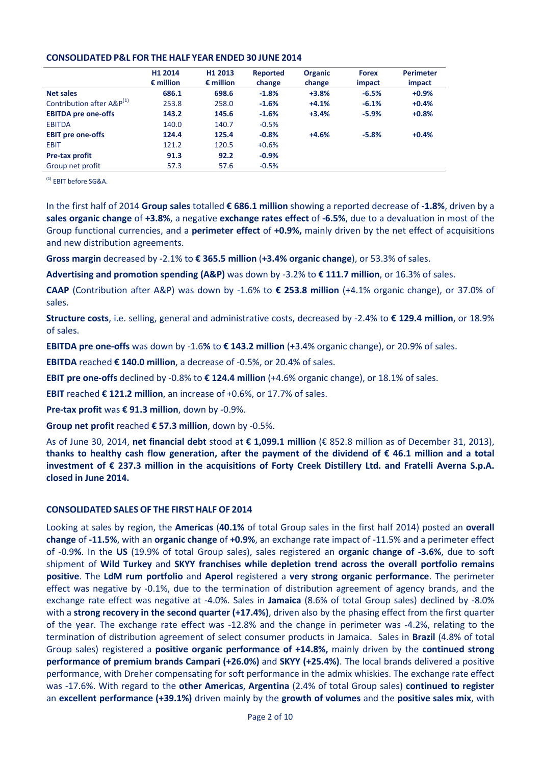### **CONSOLIDATED P&L FOR THE HALF YEAR ENDED 30 JUNE 2014**

|                                       | H1 2014            | H <sub>1</sub> 2013 | Reported | <b>Organic</b> | <b>Forex</b> | <b>Perimeter</b> |
|---------------------------------------|--------------------|---------------------|----------|----------------|--------------|------------------|
|                                       | $\epsilon$ million | $\epsilon$ million  | change   | change         | impact       | impact           |
| <b>Net sales</b>                      | 686.1              | 698.6               | $-1.8%$  | $+3.8%$        | $-6.5%$      | $+0.9%$          |
| Contribution after A&P <sup>(1)</sup> | 253.8              | 258.0               | $-1.6%$  | $+4.1%$        | $-6.1%$      | $+0.4%$          |
| <b>EBITDA pre one-offs</b>            | 143.2              | 145.6               | $-1.6%$  | $+3.4%$        | $-5.9%$      | $+0.8%$          |
| <b>EBITDA</b>                         | 140.0              | 140.7               | $-0.5%$  |                |              |                  |
| <b>EBIT</b> pre one-offs              | 124.4              | 125.4               | $-0.8%$  | $+4.6%$        | $-5.8%$      | $+0.4%$          |
| <b>EBIT</b>                           | 121.2              | 120.5               | $+0.6%$  |                |              |                  |
| <b>Pre-tax profit</b>                 | 91.3               | 92.2                | $-0.9%$  |                |              |                  |
| Group net profit                      | 57.3               | 57.6                | $-0.5%$  |                |              |                  |

(1) EBIT before SG&A.

In the first half of 2014 **Group sales** totalled **€ 686.1 million** showing a reported decrease of **-1.8%**, driven by a **sales organic change** of **+3.8%**, a negative **exchange rates effect** of **-6.5%**, due to a devaluation in most of the Group functional currencies, and a **perimeter effect** of **+0.9%,** mainly driven by the net effect of acquisitions and new distribution agreements.

**Gross margin** decreased by -2.1% to **€ 365.5 million** (**+3.4% organic change**), or 53.3% of sales.

**Advertising and promotion spending (A&P)** was down by -3.2% to **€ 111.7 million**, or 16.3% of sales.

**CAAP** (Contribution after A&P) was down by -1.6% to **€ 253.8 million** (+4.1% organic change), or 37.0% of sales.

**Structure costs**, i.e. selling, general and administrative costs, decreased by -2.4% to **€ 129.4 million**, or 18.9% of sales.

**EBITDA pre one-offs** was down by -1.6**%** to **€ 143.2 million** (+3.4% organic change), or 20.9% of sales.

**EBITDA** reached **€ 140.0 million**, a decrease of -0.5%, or 20.4% of sales.

**EBIT pre one-offs** declined by -0.8% to **€ 124.4 million** (+4.6% organic change), or 18.1% of sales.

**EBIT** reached **€ 121.2 million**, an increase of +0.6%, or 17.7% of sales.

**Pre-tax profit** was **€ 91.3 million**, down by -0.9%.

**Group net profit** reached **€ 57.3 million**, down by -0.5%.

As of June 30, 2014, **net financial debt** stood at **€ 1,099.1 million** (€ 852.8 million as of December 31, 2013), **thanks to healthy cash flow generation, after the payment of the dividend of € 46.1 million and a total investment of € 237.3 million in the acquisitions of Forty Creek Distillery Ltd. and Fratelli Averna S.p.A. closed in June 2014.** 

## **CONSOLIDATED SALES OF THE FIRST HALF OF 2014**

Looking at sales by region, the **Americas** (**40.1%** of total Group sales in the first half 2014) posted an **overall change** of **-11.5%**, with an **organic change** of **+0.9%**, an exchange rate impact of -11.5% and a perimeter effect of -0.9**%**. In the **US** (19.9% of total Group sales), sales registered an **organic change of -3.6%**, due to soft shipment of **Wild Turkey** and **SKYY franchises while depletion trend across the overall portfolio remains positive**. The **LdM rum portfolio** and **Aperol** registered a **very strong organic performance**. The perimeter effect was negative by -0.1%, due to the termination of distribution agreement of agency brands, and the exchange rate effect was negative at -4.0%. Sales in **Jamaica** (8.6% of total Group sales) declined by -8.0% with a **strong recovery in the second quarter (+17.4%)**, driven also by the phasing effect from the first quarter of the year. The exchange rate effect was -12.8% and the change in perimeter was -4.2%, relating to the termination of distribution agreement of select consumer products in Jamaica. Sales in **Brazil** (4.8% of total Group sales) registered a **positive organic performance of +14.8%,** mainly driven by the **continued strong performance of premium brands Campari (+26.0%)** and **SKYY (+25.4%)**. The local brands delivered a positive performance, with Dreher compensating for soft performance in the admix whiskies. The exchange rate effect was -17.6%. With regard to the **other Americas**, **Argentina** (2.4% of total Group sales) **continued to register**  an **excellent performance (+39.1%)** driven mainly by the **growth of volumes** and the **positive sales mix**, with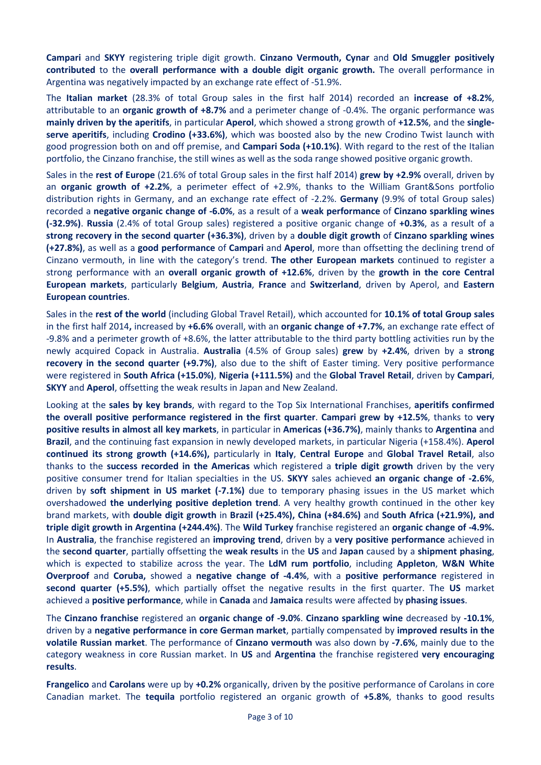**Campari** and **SKYY** registering triple digit growth. **Cinzano Vermouth, Cynar** and **Old Smuggler positively contributed** to the **overall performance with a double digit organic growth.** The overall performance in Argentina was negatively impacted by an exchange rate effect of -51.9%.

The **Italian market** (28.3% of total Group sales in the first half 2014) recorded an **increase of +8.2%**, attributable to an **organic growth of +8.7%** and a perimeter change of -0.4%. The organic performance was **mainly driven by the aperitifs**, in particular **Aperol**, which showed a strong growth of **+12.5%**, and the **singleserve aperitifs**, including **Crodino (+33.6%)**, which was boosted also by the new Crodino Twist launch with good progression both on and off premise, and **Campari Soda (+10.1%)**. With regard to the rest of the Italian portfolio, the Cinzano franchise, the still wines as well as the soda range showed positive organic growth.

Sales in the **rest of Europe** (21.6% of total Group sales in the first half 2014) **grew by +2.9%** overall, driven by an **organic growth of +2.2%**, a perimeter effect of +2.9%, thanks to the William Grant&Sons portfolio distribution rights in Germany, and an exchange rate effect of -2.2%. **Germany** (9.9% of total Group sales) recorded a **negative organic change of -6.0%**, as a result of a **weak performance** of **Cinzano sparkling wines (-32.9%)**. **Russia** (2.4% of total Group sales) registered a positive organic change of **+0.3%**, as a result of a **strong recovery in the second quarter (+36.3%)**, driven by a **double digit growth** of **Cinzano sparkling wines (+27.8%)**, as well as a **good performance** of **Campari** and **Aperol**, more than offsetting the declining trend of Cinzano vermouth, in line with the category's trend. **The other European markets** continued to register a strong performance with an **overall organic growth of +12.6%**, driven by the **growth in the core Central European markets**, particularly **Belgium**, **Austria**, **France** and **Switzerland**, driven by Aperol, and **Eastern European countries**.

Sales in the **rest of the world** (including Global Travel Retail), which accounted for **10.1% of total Group sales** in the first half 2014**,** increased by **+6.6%** overall, with an **organic change of +7.7%**, an exchange rate effect of -9.8% and a perimeter growth of +8.6%, the latter attributable to the third party bottling activities run by the newly acquired Copack in Australia. **Australia** (4.5% of Group sales) **grew** by **+2.4%**, driven by a **strong recovery in the second quarter (+9.7%)**, also due to the shift of Easter timing. Very positive performance were registered in **South Africa (+15.0%)**, **Nigeria (+111.5%)** and the **Global Travel Retail**, driven by **Campari**, **SKYY** and **Aperol**, offsetting the weak results in Japan and New Zealand.

Looking at the **sales by key brands**, with regard to the Top Six International Franchises, **aperitifs confirmed the overall positive performance registered in the first quarter**. **Campari grew by +12.5%**, thanks to **very positive results in almost all key markets**, in particular in **Americas (+36.7%)**, mainly thanks to **Argentina** and **Brazil**, and the continuing fast expansion in newly developed markets, in particular Nigeria (+158.4%). **Aperol continued its strong growth (+14.6%),** particularly in **Italy**, **Central Europe** and **Global Travel Retail**, also thanks to the **success recorded in the Americas** which registered a **triple digit growth** driven by the very positive consumer trend for Italian specialties in the US. **SKYY** sales achieved **an organic change of -2.6%**, driven by **soft shipment in US market (-7.1%)** due to temporary phasing issues in the US market which overshadowed **the underlying positive depletion trend**. A very healthy growth continued in the other key brand markets, with **double digit growth** in **Brazil (+25.4%), China (+84.6%)** and **South Africa (+21.9%), and triple digit growth in Argentina (+244.4%)**. The **Wild Turkey** franchise registered an **organic change of -4.9%.** In **Australia**, the franchise registered an **improving trend**, driven by a **very positive performance** achieved in the **second quarter**, partially offsetting the **weak results** in the **US** and **Japan** caused by a **shipment phasing**, which is expected to stabilize across the year. The **LdM rum portfolio**, including **Appleton**, **W&N White Overproof** and **Coruba,** showed a **negative change of -4.4%**, with a **positive performance** registered in **second quarter (+5.5%)**, which partially offset the negative results in the first quarter. The **US** market achieved a **positive performance**, while in **Canada** and **Jamaica** results were affected by **phasing issues**.

The **Cinzano franchise** registered an **organic change of -9.0%**. **Cinzano sparkling wine** decreased by **-10.1%**, driven by a **negative performance in core German market**, partially compensated by **improved results in the volatile Russian market**. The performance of **Cinzano vermouth** was also down by **-7.6%**, mainly due to the category weakness in core Russian market. In **US** and **Argentina** the franchise registered **very encouraging results**.

**Frangelico** and **Carolans** were up by **+0.2%** organically, driven by the positive performance of Carolans in core Canadian market. The **tequila** portfolio registered an organic growth of **+5.8%**, thanks to good results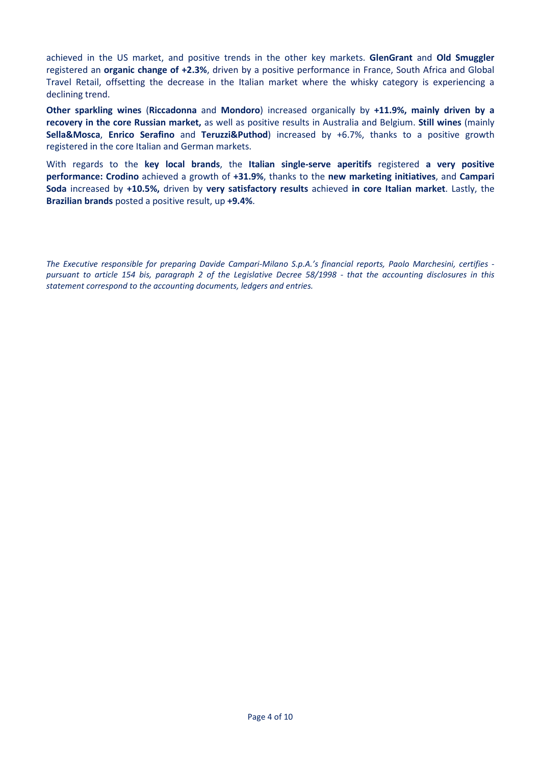achieved in the US market, and positive trends in the other key markets. **GlenGrant** and **Old Smuggler** registered an **organic change of +2.3%**, driven by a positive performance in France, South Africa and Global Travel Retail, offsetting the decrease in the Italian market where the whisky category is experiencing a declining trend.

**Other sparkling wines** (**Riccadonna** and **Mondoro**) increased organically by **+11.9%, mainly driven by a recovery in the core Russian market,** as well as positive results in Australia and Belgium. **Still wines** (mainly **Sella&Mosca**, **Enrico Serafino** and **Teruzzi&Puthod**) increased by +6.7%, thanks to a positive growth registered in the core Italian and German markets.

With regards to the **key local brands**, the **Italian single-serve aperitifs** registered **a very positive performance: Crodino** achieved a growth of **+31.9%**, thanks to the **new marketing initiatives**, and **Campari Soda** increased by **+10.5%,** driven by **very satisfactory results** achieved **in core Italian market**. Lastly, the **Brazilian brands** posted a positive result, up **+9.4%**.

*The Executive responsible for preparing Davide Campari-Milano S.p.A.'s financial reports, Paolo Marchesini, certifies pursuant to article 154 bis, paragraph 2 of the Legislative Decree 58/1998 - that the accounting disclosures in this statement correspond to the accounting documents, ledgers and entries.*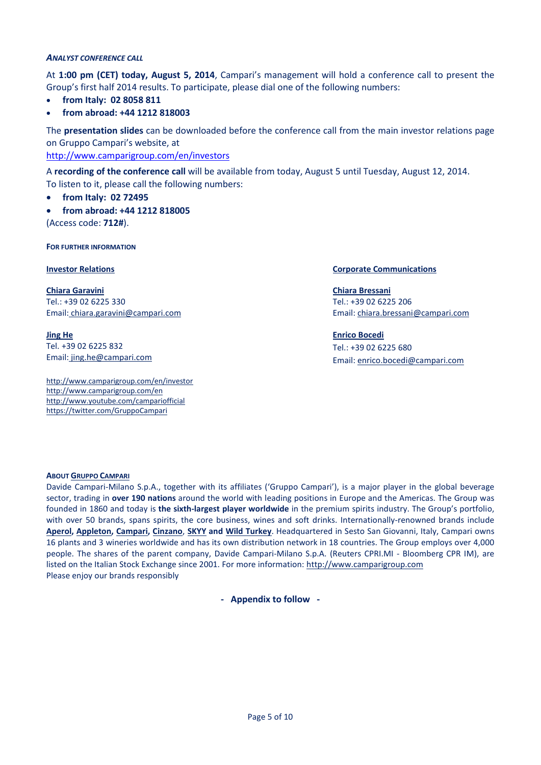### *ANALYST CONFERENCE CALL*

At **1:00 pm (CET) today, August 5, 2014**, Campari's management will hold a conference call to present the Group's first half 2014 results. To participate, please dial one of the following numbers:

- **from Italy: 02 8058 811**
- **from abroad: +44 1212 818003**

The **presentation slides** can be downloaded before the conference call from the main investor relations page on Gruppo Campari's website, at

<http://www.camparigroup.com/en/investors>

A **recording of the conference call** will be available from today, August 5 until Tuesday, August 12, 2014. To listen to it, please call the following numbers:

- **from Italy: 02 72495**
- **from abroad: +44 1212 818005**

(Access code: **712#**).

**FOR FURTHER INFORMATION**

**Chiara Garavini** Tel.: +39 02 6225 330 Email: [chiara.garavini@campari.com](mailto:chiara.garavini@campari.com)

**Jing He** Tel. +39 02 6225 832 Email: jing.he@campari.com

http://www.camparigroup.com/en/investor http://www.camparigroup.com/en http://www.youtube.com/campariofficial <https://twitter.com/GruppoCampari>

### **Investor Relations Communications Communications**

**Chiara Bressani** Tel.: +39 02 6225 206 Email[: chiara.bressani@campari.com](mailto:chiara.bressani@campari.com)

**Enrico Bocedi** Tel.: +39 02 6225 680 Email: enrico.bocedi@campari.com

#### **ABOU[T GRUPPO CAMPARI](http://www.camparigroup.com/en/index.shtml)**

Davide Campari-Milano S.p.A., together with its affiliates ('Gruppo Campari'), is a major player in the global beverage sector, trading in **over 190 nations** around the world with leading positions in Europe and the Americas. The Group was founded in 1860 and today is **the sixth-largest player worldwide** in the premium spirits industry. The Group's portfolio, with over 50 brands, spans spirits, the core business, wines and soft drinks. Internationally-renowned brands include **[Aperol,](http://www.aperol.com/?http%3A//www.aperol.com/) [Appleton,](http://www.appletonestate.com/) [Campari,](http://www.campari.com/) [Cinzano](http://www.cinzano.com/)**, **[SKYY](http://www.skyy.com/) and [Wild Turkey](http://www.wildturkeybourbon.com.au/)**. Headquartered in Sesto San Giovanni, Italy, Campari owns 16 plants and 3 wineries worldwide and has its own distribution network in 18 countries. The Group employs over 4,000 people. The shares of the parent company, Davide Campari-Milano S.p.A. (Reuters CPRI.MI - Bloomberg CPR IM), are listed on the Italian Stock Exchange since 2001. For more information: [http://www.camparigroup.com](http://www.camparigroup.com/) Please enjoy our brands responsibly

**- Appendix to follow -**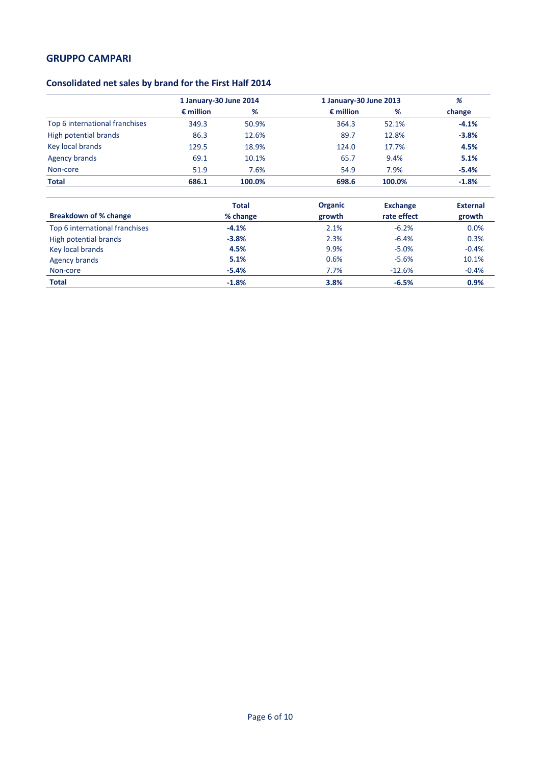# **Consolidated net sales by brand for the First Half 2014**

|                                | 1 January-30 June 2014 |        | 1 January-30 June 2013 | %      |         |
|--------------------------------|------------------------|--------|------------------------|--------|---------|
|                                | $\epsilon$ million     | %      | $\epsilon$ million     | %      | change  |
| Top 6 international franchises | 349.3                  | 50.9%  | 364.3                  | 52.1%  | $-4.1%$ |
| High potential brands          | 86.3                   | 12.6%  | 89.7                   | 12.8%  | $-3.8%$ |
| Key local brands               | 129.5                  | 18.9%  | 124.0                  | 17.7%  | 4.5%    |
| <b>Agency brands</b>           | 69.1                   | 10.1%  | 65.7                   | 9.4%   | 5.1%    |
| Non-core                       | 51.9                   | 7.6%   | 54.9                   | 7.9%   | $-5.4%$ |
| <b>Total</b>                   | 686.1                  | 100.0% | 698.6                  | 100.0% | $-1.8%$ |

|                                | <b>Total</b> | <b>Organic</b> | <b>Exchange</b> | <b>External</b> |
|--------------------------------|--------------|----------------|-----------------|-----------------|
| <b>Breakdown of % change</b>   | % change     | growth         | rate effect     | growth          |
| Top 6 international franchises | $-4.1%$      | 2.1%           | $-6.2%$         | 0.0%            |
| High potential brands          | $-3.8%$      | 2.3%           | $-6.4%$         | 0.3%            |
| Key local brands               | 4.5%         | 9.9%           | $-5.0%$         | $-0.4%$         |
| <b>Agency brands</b>           | 5.1%         | 0.6%           | $-5.6%$         | 10.1%           |
| Non-core                       | $-5.4%$      | 7.7%           | $-12.6%$        | $-0.4%$         |
| <b>Total</b>                   | $-1.8%$      | 3.8%           | $-6.5%$         | 0.9%            |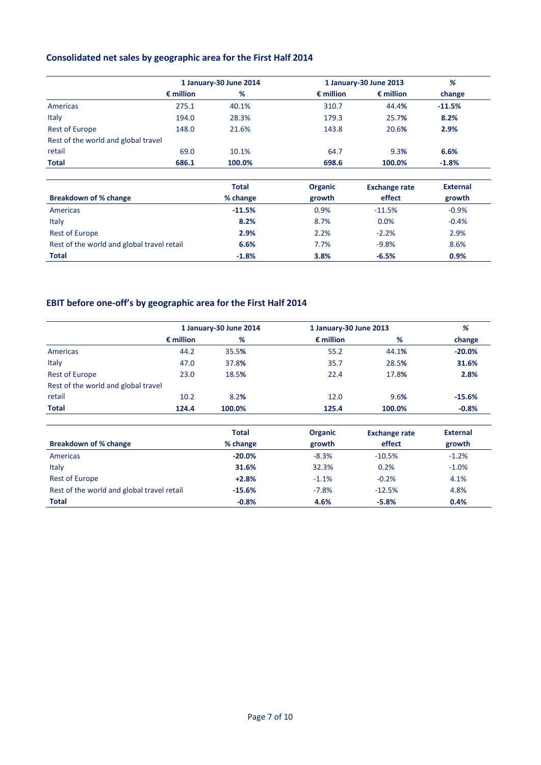# **Consolidated net sales by geographic area for the First Half 2014**

|                                     |                    | 1 January-30 June 2014 |                    | 1 January-30 June 2013 |                 |
|-------------------------------------|--------------------|------------------------|--------------------|------------------------|-----------------|
|                                     | $\epsilon$ million | %                      | $\epsilon$ million | $\epsilon$ million     | change          |
| Americas                            | 275.1              | 40.1%                  | 310.7              | 44.4%                  | $-11.5%$        |
| Italy                               | 194.0              | 28.3%                  | 179.3              | 25.7%                  | 8.2%            |
| <b>Rest of Europe</b>               | 148.0              | 21.6%                  | 143.8              | 20.6%                  | 2.9%            |
| Rest of the world and global travel |                    |                        |                    |                        |                 |
| retail                              | 69.0               | 10.1%                  | 64.7               | 9.3%                   | 6.6%            |
| <b>Total</b>                        | 686.1              | 100.0%                 | 698.6              | 100.0%                 | $-1.8%$         |
|                                     |                    | <b>Total</b>           | <b>Organic</b>     | <b>Exchange rate</b>   | <b>External</b> |

|                                            | Total    | Urganic | <b>Exchange rate</b> | external |
|--------------------------------------------|----------|---------|----------------------|----------|
| <b>Breakdown of % change</b>               | % change | growth  | effect               | growth   |
| Americas                                   | $-11.5%$ | 0.9%    | $-11.5%$             | $-0.9%$  |
| Italy                                      | 8.2%     | 8.7%    | 0.0%                 | $-0.4%$  |
| <b>Rest of Europe</b>                      | 2.9%     | 2.2%    | $-2.2%$              | 2.9%     |
| Rest of the world and global travel retail | 6.6%     | 7.7%    | $-9.8%$              | 8.6%     |
| <b>Total</b>                               | $-1.8%$  | 3.8%    | $-6.5%$              | 0.9%     |

# **EBIT before one-off's by geographic area for the First Half 2014**

|                                     |                    | 1 January-30 June 2014 | 1 January-30 June 2013 | %      |          |
|-------------------------------------|--------------------|------------------------|------------------------|--------|----------|
|                                     | $\epsilon$ million | %                      | $\epsilon$ million     | %      | change   |
| Americas                            | 44.2               | 35.5%                  | 55.2                   | 44.1%  | $-20.0%$ |
| Italy                               | 47.0               | 37.8%                  | 35.7                   | 28.5%  | 31.6%    |
| <b>Rest of Europe</b>               | 23.0               | 18.5%                  | 22.4                   | 17.8%  | 2.8%     |
| Rest of the world and global travel |                    |                        |                        |        |          |
| retail                              | 10.2               | 8.2%                   | 12.0                   | 9.6%   | $-15.6%$ |
| <b>Total</b>                        | 124.4              | 100.0%                 | 125.4                  | 100.0% | $-0.8%$  |

|                                            | <b>Total</b> | <b>Organic</b> | <b>Exchange rate</b> | <b>External</b> |
|--------------------------------------------|--------------|----------------|----------------------|-----------------|
| Breakdown of % change                      | % change     | growth         | effect               | growth          |
| Americas                                   | $-20.0%$     | $-8.3%$        | $-10.5%$             | $-1.2%$         |
| Italy                                      | 31.6%        | 32.3%          | 0.2%                 | $-1.0%$         |
| <b>Rest of Europe</b>                      | $+2.8%$      | $-1.1%$        | $-0.2%$              | 4.1%            |
| Rest of the world and global travel retail | $-15.6%$     | $-7.8%$        | $-12.5%$             | 4.8%            |
| <b>Total</b>                               | $-0.8%$      | 4.6%           | $-5.8%$              | 0.4%            |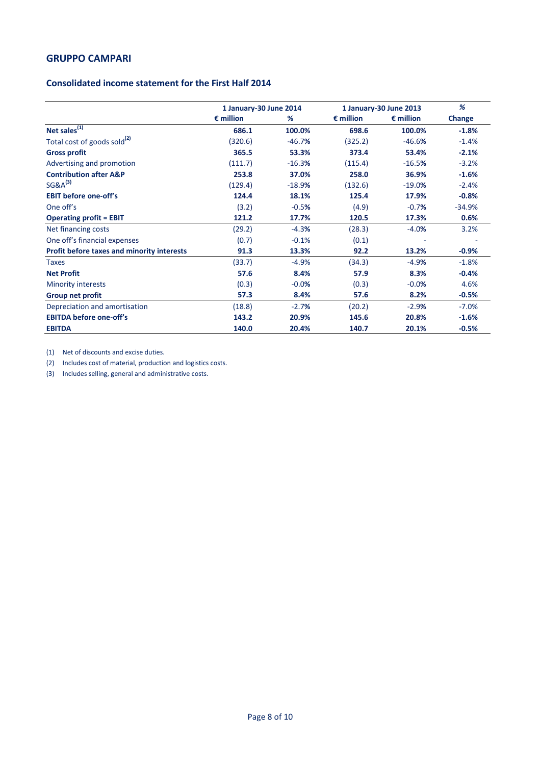## **Consolidated income statement for the First Half 2014**

|                                                   | 1 January-30 June 2014 |          |                    | 1 January-30 June 2013 | %        |
|---------------------------------------------------|------------------------|----------|--------------------|------------------------|----------|
|                                                   | $\epsilon$ million     | %        | $\epsilon$ million | $\epsilon$ million     | Change   |
| Net sales <sup>(1)</sup>                          | 686.1                  | 100.0%   | 698.6              | 100.0%                 | $-1.8%$  |
| Total cost of goods sold <sup>(2)</sup>           | (320.6)                | $-46.7%$ | (325.2)            | $-46.6%$               | $-1.4%$  |
| <b>Gross profit</b>                               | 365.5                  | 53.3%    | 373.4              | 53.4%                  | $-2.1%$  |
| Advertising and promotion                         | (111.7)                | $-16.3%$ | (115.4)            | $-16.5%$               | $-3.2%$  |
| <b>Contribution after A&amp;P</b>                 | 253.8                  | 37.0%    | 258.0              | 36.9%                  | $-1.6%$  |
| $SG&A^{(3)}$                                      | (129.4)                | $-18.9%$ | (132.6)            | $-19.0%$               | $-2.4%$  |
| <b>EBIT before one-off's</b>                      | 124.4                  | 18.1%    | 125.4              | 17.9%                  | $-0.8%$  |
| One off's                                         | (3.2)                  | $-0.5%$  | (4.9)              | $-0.7%$                | $-34.9%$ |
| <b>Operating profit = EBIT</b>                    | 121.2                  | 17.7%    | 120.5              | 17.3%                  | 0.6%     |
| Net financing costs                               | (29.2)                 | $-4.3%$  | (28.3)             | $-4.0%$                | 3.2%     |
| One off's financial expenses                      | (0.7)                  | $-0.1%$  | (0.1)              |                        |          |
| <b>Profit before taxes and minority interests</b> | 91.3                   | 13.3%    | 92.2               | 13.2%                  | $-0.9%$  |
| <b>Taxes</b>                                      | (33.7)                 | $-4.9%$  | (34.3)             | $-4.9%$                | $-1.8%$  |
| <b>Net Profit</b>                                 | 57.6                   | 8.4%     | 57.9               | 8.3%                   | $-0.4%$  |
| <b>Minority interests</b>                         | (0.3)                  | $-0.0%$  | (0.3)              | $-0.0%$                | 4.6%     |
| <b>Group net profit</b>                           | 57.3                   | 8.4%     | 57.6               | 8.2%                   | $-0.5%$  |
| Depreciation and amortisation                     | (18.8)                 | $-2.7%$  | (20.2)             | $-2.9%$                | $-7.0%$  |
| <b>EBITDA before one-off's</b>                    | 143.2                  | 20.9%    | 145.6              | 20.8%                  | $-1.6%$  |
| <b>EBITDA</b>                                     | 140.0                  | 20.4%    | 140.7              | 20.1%                  | $-0.5%$  |

(1) Net of discounts and excise duties.

(2) Includes cost of material, production and logistics costs.

(3) Includes selling, general and administrative costs.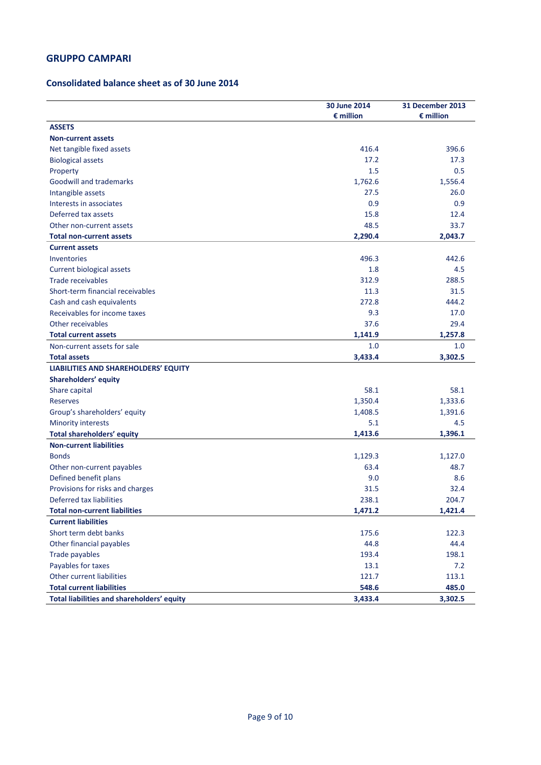# **Consolidated balance sheet as of 30 June 2014**

|                                             | 30 June 2014<br>$\epsilon$ million | 31 December 2013<br>$\epsilon$ million |
|---------------------------------------------|------------------------------------|----------------------------------------|
| <b>ASSETS</b>                               |                                    |                                        |
| <b>Non-current assets</b>                   |                                    |                                        |
| Net tangible fixed assets                   | 416.4                              | 396.6                                  |
| <b>Biological assets</b>                    | 17.2                               | 17.3                                   |
| Property                                    | 1.5                                | 0.5                                    |
| <b>Goodwill and trademarks</b>              | 1,762.6                            | 1,556.4                                |
| Intangible assets                           | 27.5                               | 26.0                                   |
| Interests in associates                     | 0.9                                | 0.9                                    |
| Deferred tax assets                         | 15.8                               | 12.4                                   |
| Other non-current assets                    | 48.5                               | 33.7                                   |
| <b>Total non-current assets</b>             | 2,290.4                            | 2,043.7                                |
| <b>Current assets</b>                       |                                    |                                        |
| Inventories                                 | 496.3                              | 442.6                                  |
| <b>Current biological assets</b>            | 1.8                                | 4.5                                    |
| Trade receivables                           | 312.9                              | 288.5                                  |
| Short-term financial receivables            | 11.3                               | 31.5                                   |
| Cash and cash equivalents                   | 272.8                              | 444.2                                  |
| Receivables for income taxes                | 9.3                                | 17.0                                   |
| Other receivables                           | 37.6                               | 29.4                                   |
| <b>Total current assets</b>                 | 1,141.9                            | 1,257.8                                |
| Non-current assets for sale                 | 1.0                                | 1.0                                    |
| <b>Total assets</b>                         | 3,433.4                            | 3,302.5                                |
| <b>LIABILITIES AND SHAREHOLDERS' EQUITY</b> |                                    |                                        |
| Shareholders' equity                        |                                    |                                        |
| Share capital                               | 58.1                               | 58.1                                   |
| Reserves                                    | 1,350.4                            | 1,333.6                                |
| Group's shareholders' equity                | 1,408.5                            | 1,391.6                                |
| <b>Minority interests</b>                   | 5.1                                | 4.5                                    |
| <b>Total shareholders' equity</b>           | 1,413.6                            | 1,396.1                                |
| <b>Non-current liabilities</b>              |                                    |                                        |
| <b>Bonds</b>                                | 1,129.3                            | 1,127.0                                |
| Other non-current payables                  | 63.4                               | 48.7                                   |
| Defined benefit plans                       | 9.0                                | 8.6                                    |
| Provisions for risks and charges            | 31.5                               | 32.4                                   |
| Deferred tax liabilities                    | 238.1                              | 204.7                                  |
| <b>Total non-current liabilities</b>        | 1,471.2                            | 1,421.4                                |
| <b>Current liabilities</b>                  |                                    |                                        |
| Short term debt banks                       | 175.6                              | 122.3                                  |
| Other financial payables                    | 44.8                               | 44.4                                   |
| Trade payables                              | 193.4                              | 198.1                                  |
| Payables for taxes                          | 13.1                               | 7.2                                    |
| Other current liabilities                   | 121.7                              | 113.1                                  |
| <b>Total current liabilities</b>            | 548.6                              | 485.0                                  |
| Total liabilities and shareholders' equity  | 3,433.4                            | 3,302.5                                |